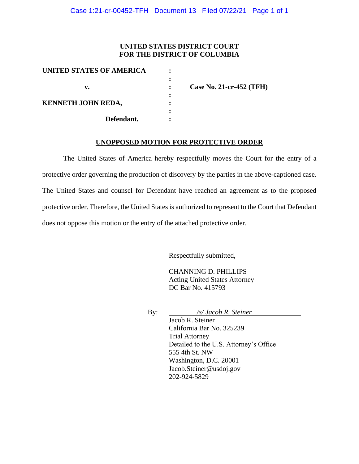#### **UNITED STATES DISTRICT COURT FOR THE DISTRICT OF COLUMBIA**

| UNITED STATES OF AMERICA  |                          |
|---------------------------|--------------------------|
|                           |                          |
| v.                        | Case No. 21-cr-452 (TFH) |
|                           |                          |
| <b>KENNETH JOHN REDA,</b> |                          |
| Defendant.                |                          |

#### **UNOPPOSED MOTION FOR PROTECTIVE ORDER**

The United States of America hereby respectfully moves the Court for the entry of a protective order governing the production of discovery by the parties in the above-captioned case. The United States and counsel for Defendant have reached an agreement as to the proposed protective order. Therefore, the United States is authorized to represent to the Court that Defendant does not oppose this motion or the entry of the attached protective order.

Respectfully submitted,

CHANNING D. PHILLIPS Acting United States Attorney DC Bar No. 415793

By: */s/ Jacob R. Steiner*

Jacob R. Steiner California Bar No. 325239 Trial Attorney Detailed to the U.S. Attorney's Office 555 4th St. NW Washington, D.C. 20001 Jacob.Steiner@usdoj.gov 202-924-5829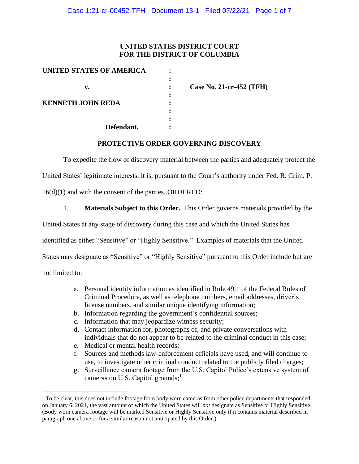## **UNITED STATES DISTRICT COURT FOR THE DISTRICT OF COLUMBIA**

| UNITED STATES OF AMERICA |                   |
|--------------------------|-------------------|
|                          |                   |
| v.                       | Case <sup>:</sup> |
|                          |                   |
| <b>KENNETH JOHN REDA</b> |                   |
|                          |                   |
|                          |                   |
| Defendant.               |                   |

**No. 21-cr-452 (TFH)** 

### **PROTECTIVE ORDER GOVERNING DISCOVERY**

To expedite the flow of discovery material between the parties and adequately protect the

United States' legitimate interests, it is, pursuant to the Court's authority under Fed. R. Crim. P.

16(d)(1) and with the consent of the parties, ORDERED:

1. **Materials Subject to this Order.** This Order governs materials provided by the

United States at any stage of discovery during this case and which the United States has

identified as either "Sensitive" or "Highly Sensitive." Examples of materials that the United

States may designate as "Sensitive" or "Highly Sensitive" pursuant to this Order include but are

not limited to:

- a. Personal identity information as identified in Rule 49.1 of the Federal Rules of Criminal Procedure, as well as telephone numbers, email addresses, driver's license numbers, and similar unique identifying information;
- b. Information regarding the government's confidential sources;
- c. Information that may jeopardize witness security;
- d. Contact information for, photographs of, and private conversations with individuals that do not appear to be related to the criminal conduct in this case;
- e. Medical or mental health records;
- f. Sources and methods law-enforcement officials have used, and will continue to use, to investigate other criminal conduct related to the publicly filed charges;
- g. Surveillance camera footage from the U.S. Capitol Police's extensive system of cameras on U.S. Capitol grounds;<sup>1</sup>

 $<sup>1</sup>$  To be clear, this does not include footage from body worn cameras from other police departments that responded</sup> on January 6, 2021, the vast amount of which the United States will *not* designate as Sensitive or Highly Sensitive. (Body worn camera footage will be marked Sensitive or Highly Sensitive only if it contains material described in paragraph one above or for a similar reason not anticipated by this Order.)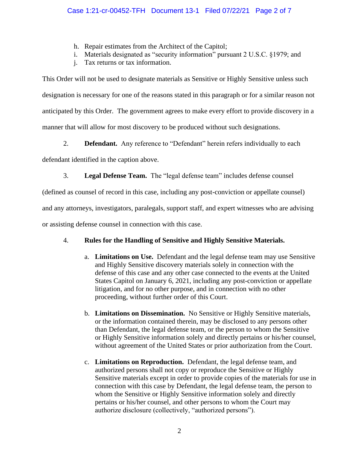- h. Repair estimates from the Architect of the Capitol;
- i. Materials designated as "security information" pursuant 2 U.S.C. §1979; and
- j. Tax returns or tax information.

This Order will not be used to designate materials as Sensitive or Highly Sensitive unless such designation is necessary for one of the reasons stated in this paragraph or for a similar reason not anticipated by this Order. The government agrees to make every effort to provide discovery in a manner that will allow for most discovery to be produced without such designations.

2. **Defendant.** Any reference to "Defendant" herein refers individually to each

defendant identified in the caption above.

3. **Legal Defense Team.** The "legal defense team" includes defense counsel

(defined as counsel of record in this case, including any post-conviction or appellate counsel)

and any attorneys, investigators, paralegals, support staff, and expert witnesses who are advising

or assisting defense counsel in connection with this case.

# 4. **Rules for the Handling of Sensitive and Highly Sensitive Materials.**

- a. **Limitations on Use.** Defendant and the legal defense team may use Sensitive and Highly Sensitive discovery materials solely in connection with the defense of this case and any other case connected to the events at the United States Capitol on January 6, 2021, including any post-conviction or appellate litigation, and for no other purpose, and in connection with no other proceeding, without further order of this Court.
- b. **Limitations on Dissemination.** No Sensitive or Highly Sensitive materials, or the information contained therein, may be disclosed to any persons other than Defendant, the legal defense team, or the person to whom the Sensitive or Highly Sensitive information solely and directly pertains or his/her counsel, without agreement of the United States or prior authorization from the Court.
- c. **Limitations on Reproduction.** Defendant, the legal defense team, and authorized persons shall not copy or reproduce the Sensitive or Highly Sensitive materials except in order to provide copies of the materials for use in connection with this case by Defendant, the legal defense team, the person to whom the Sensitive or Highly Sensitive information solely and directly pertains or his/her counsel, and other persons to whom the Court may authorize disclosure (collectively, "authorized persons").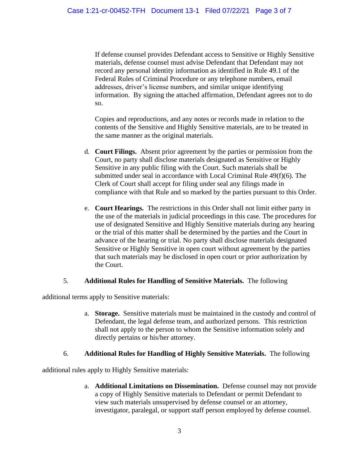If defense counsel provides Defendant access to Sensitive or Highly Sensitive materials, defense counsel must advise Defendant that Defendant may not record any personal identity information as identified in Rule 49.1 of the Federal Rules of Criminal Procedure or any telephone numbers, email addresses, driver's license numbers, and similar unique identifying information. By signing the attached affirmation, Defendant agrees not to do so.

Copies and reproductions, and any notes or records made in relation to the contents of the Sensitive and Highly Sensitive materials, are to be treated in the same manner as the original materials.

- d. **Court Filings.** Absent prior agreement by the parties or permission from the Court, no party shall disclose materials designated as Sensitive or Highly Sensitive in any public filing with the Court. Such materials shall be submitted under seal in accordance with Local Criminal Rule 49(f)(6). The Clerk of Court shall accept for filing under seal any filings made in compliance with that Rule and so marked by the parties pursuant to this Order.
- e. **Court Hearings.** The restrictions in this Order shall not limit either party in the use of the materials in judicial proceedings in this case. The procedures for use of designated Sensitive and Highly Sensitive materials during any hearing or the trial of this matter shall be determined by the parties and the Court in advance of the hearing or trial. No party shall disclose materials designated Sensitive or Highly Sensitive in open court without agreement by the parties that such materials may be disclosed in open court or prior authorization by the Court.

### 5. **Additional Rules for Handling of Sensitive Materials.** The following

additional terms apply to Sensitive materials:

a. **Storage.** Sensitive materials must be maintained in the custody and control of Defendant, the legal defense team, and authorized persons. This restriction shall not apply to the person to whom the Sensitive information solely and directly pertains or his/her attorney.

### 6. **Additional Rules for Handling of Highly Sensitive Materials.** The following

additional rules apply to Highly Sensitive materials:

a. **Additional Limitations on Dissemination.** Defense counsel may not provide a copy of Highly Sensitive materials to Defendant or permit Defendant to view such materials unsupervised by defense counsel or an attorney, investigator, paralegal, or support staff person employed by defense counsel.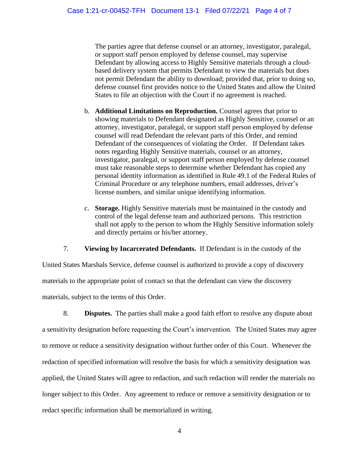The parties agree that defense counsel or an attorney, investigator, paralegal, or support staff person employed by defense counsel, may supervise Defendant by allowing access to Highly Sensitive materials through a cloudbased delivery system that permits Defendant to view the materials but does not permit Defendant the ability to download; provided that, prior to doing so, defense counsel first provides notice to the United States and allow the United States to file an objection with the Court if no agreement is reached.

- b. **Additional Limitations on Reproduction.** Counsel agrees that prior to showing materials to Defendant designated as Highly Sensitive, counsel or an attorney, investigator, paralegal, or support staff person employed by defense counsel will read Defendant the relevant parts of this Order, and remind Defendant of the consequences of violating the Order. If Defendant takes notes regarding Highly Sensitive materials, counsel or an attorney, investigator, paralegal, or support staff person employed by defense counsel must take reasonable steps to determine whether Defendant has copied any personal identity information as identified in Rule 49.1 of the Federal Rules of Criminal Procedure or any telephone numbers, email addresses, driver's license numbers, and similar unique identifying information.
- c. **Storage.** Highly Sensitive materials must be maintained in the custody and control of the legal defense team and authorized persons. This restriction shall not apply to the person to whom the Highly Sensitive information solely and directly pertains or his/her attorney.

7. **Viewing by Incarcerated Defendants.** If Defendant is in the custody of the

United States Marshals Service, defense counsel is authorized to provide a copy of discovery materials to the appropriate point of contact so that the defendant can view the discovery materials, subject to the terms of this Order.

8. **Disputes.** The parties shall make a good faith effort to resolve any dispute about a sensitivity designation before requesting the Court's intervention. The United States may agree to remove or reduce a sensitivity designation without further order of this Court. Whenever the redaction of specified information will resolve the basis for which a sensitivity designation was applied, the United States will agree to redaction, and such redaction will render the materials no longer subject to this Order. Any agreement to reduce or remove a sensitivity designation or to redact specific information shall be memorialized in writing.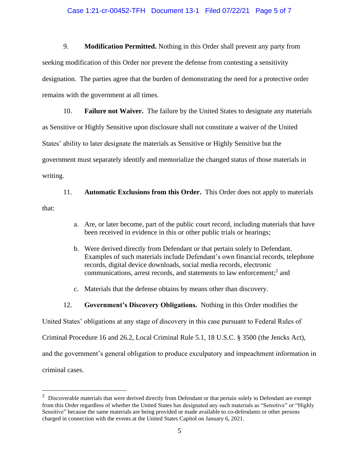#### Case 1:21-cr-00452-TFH Document 13-1 Filed 07/22/21 Page 5 of 7

9. **Modification Permitted.** Nothing in this Order shall prevent any party from seeking modification of this Order nor prevent the defense from contesting a sensitivity designation. The parties agree that the burden of demonstrating the need for a protective order remains with the government at all times.

10. **Failure not Waiver.** The failure by the United States to designate any materials as Sensitive or Highly Sensitive upon disclosure shall not constitute a waiver of the United States' ability to later designate the materials as Sensitive or Highly Sensitive but the government must separately identify and memorialize the changed status of those materials in writing.

11. **Automatic Exclusions from this Order.** This Order does not apply to materials that:

- a. Are, or later become, part of the public court record, including materials that have been received in evidence in this or other public trials or hearings;
- b. Were derived directly from Defendant or that pertain solely to Defendant. Examples of such materials include Defendant's own financial records, telephone records, digital device downloads, social media records, electronic communications, arrest records, and statements to law enforcement; 2 and
- c. Materials that the defense obtains by means other than discovery.
- 12. **Government's Discovery Obligations.** Nothing in this Order modifies the

United States' obligations at any stage of discovery in this case pursuant to Federal Rules of

Criminal Procedure 16 and 26.2, Local Criminal Rule 5.1, 18 U.S.C. § 3500 (the Jencks Act),

and the government's general obligation to produce exculpatory and impeachment information in

criminal cases.

 $2$  Discoverable materials that were derived directly from Defendant or that pertain solely to Defendant are exempt from this Order regardless of whether the United States has designated any such materials as "Sensitive" or "Highly Sensitive" because the same materials are being provided or made available to co-defendants or other persons charged in connection with the events at the United States Capitol on January 6, 2021.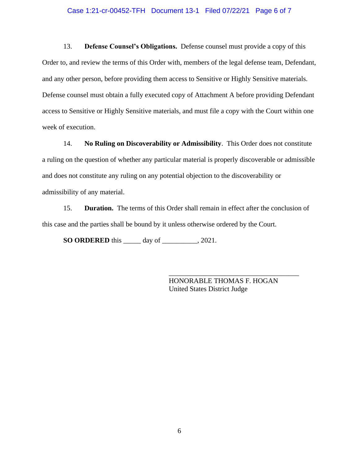#### Case 1:21-cr-00452-TFH Document 13-1 Filed 07/22/21 Page 6 of 7

13. **Defense Counsel's Obligations.** Defense counsel must provide a copy of this Order to, and review the terms of this Order with, members of the legal defense team, Defendant, and any other person, before providing them access to Sensitive or Highly Sensitive materials. Defense counsel must obtain a fully executed copy of Attachment A before providing Defendant access to Sensitive or Highly Sensitive materials, and must file a copy with the Court within one week of execution.

14. **No Ruling on Discoverability or Admissibility**. This Order does not constitute a ruling on the question of whether any particular material is properly discoverable or admissible and does not constitute any ruling on any potential objection to the discoverability or admissibility of any material.

15. **Duration.** The terms of this Order shall remain in effect after the conclusion of this case and the parties shall be bound by it unless otherwise ordered by the Court.

**SO ORDERED** this \_\_\_\_\_ day of \_\_\_\_\_\_\_\_\_\_, 2021.

HONORABLE THOMAS F. HOGAN United States District Judge

\_\_\_\_\_\_\_\_\_\_\_\_\_\_\_\_\_\_\_\_\_\_\_\_\_\_\_\_\_\_\_\_\_\_\_\_\_